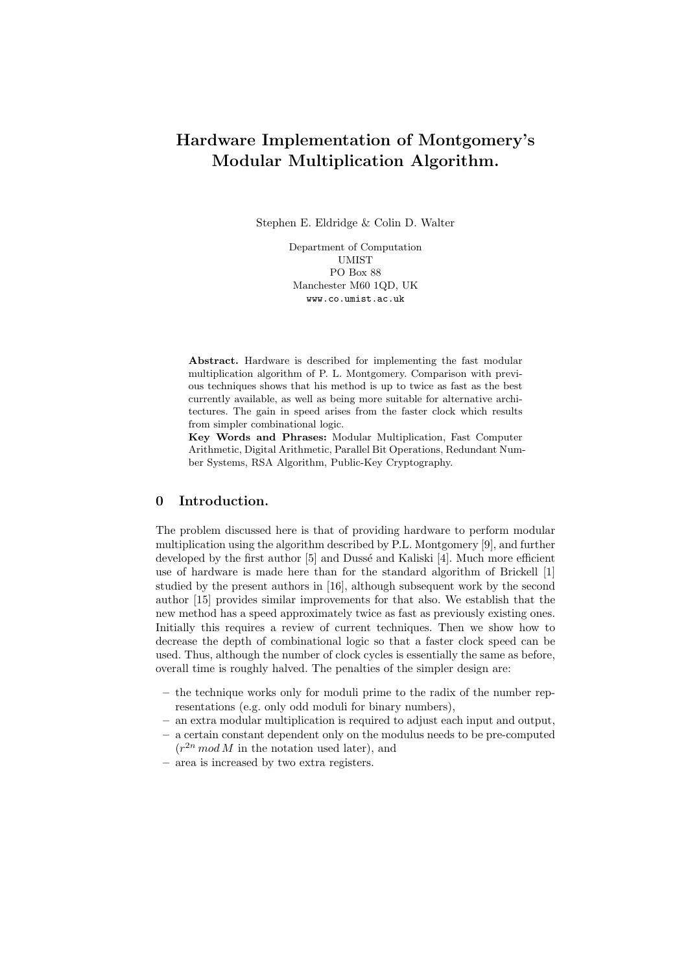# Hardware Implementation of Montgomery's Modular Multiplication Algorithm.

Stephen E. Eldridge & Colin D. Walter

Department of Computation UMIST PO Box 88 Manchester M60 1QD, UK www.co.umist.ac.uk

Abstract. Hardware is described for implementing the fast modular multiplication algorithm of P. L. Montgomery. Comparison with previous techniques shows that his method is up to twice as fast as the best currently available, as well as being more suitable for alternative architectures. The gain in speed arises from the faster clock which results from simpler combinational logic.

Key Words and Phrases: Modular Multiplication, Fast Computer Arithmetic, Digital Arithmetic, Parallel Bit Operations, Redundant Number Systems, RSA Algorithm, Public-Key Cryptography.

### 0 Introduction.

The problem discussed here is that of providing hardware to perform modular multiplication using the algorithm described by P.L. Montgomery [9], and further developed by the first author [5] and Dussé and Kaliski [4]. Much more efficient use of hardware is made here than for the standard algorithm of Brickell [1] studied by the present authors in [16], although subsequent work by the second author [15] provides similar improvements for that also. We establish that the new method has a speed approximately twice as fast as previously existing ones. Initially this requires a review of current techniques. Then we show how to decrease the depth of combinational logic so that a faster clock speed can be used. Thus, although the number of clock cycles is essentially the same as before, overall time is roughly halved. The penalties of the simpler design are:

- the technique works only for moduli prime to the radix of the number representations (e.g. only odd moduli for binary numbers),
- an extra modular multiplication is required to adjust each input and output,
- a certain constant dependent only on the modulus needs to be pre-computed  $(r^{2n} \mod M)$  in the notation used later), and
- area is increased by two extra registers.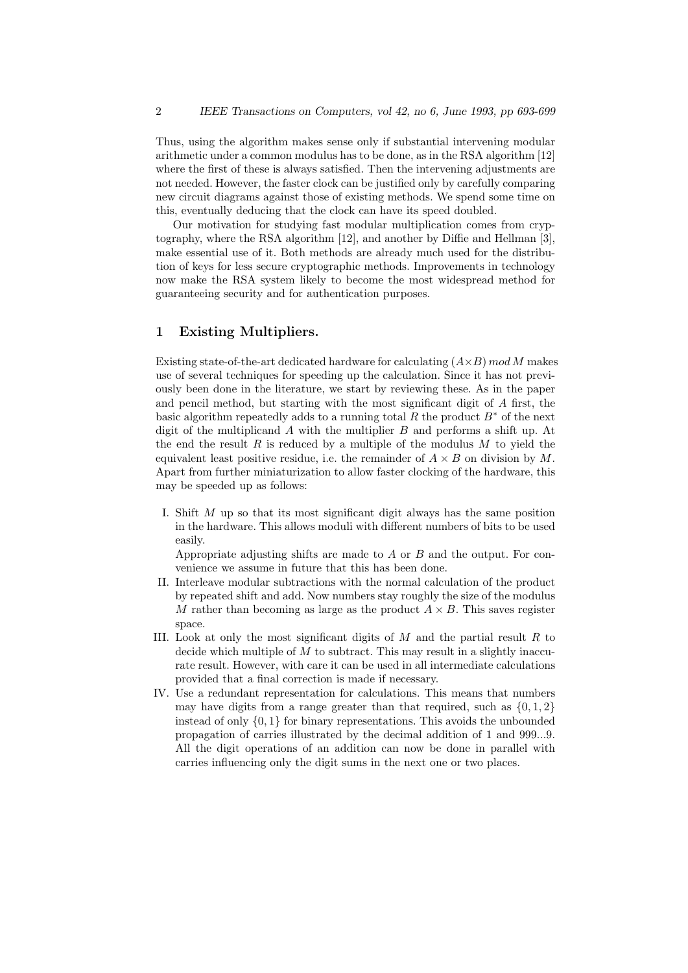Thus, using the algorithm makes sense only if substantial intervening modular arithmetic under a common modulus has to be done, as in the RSA algorithm [12] where the first of these is always satisfied. Then the intervening adjustments are not needed. However, the faster clock can be justified only by carefully comparing new circuit diagrams against those of existing methods. We spend some time on this, eventually deducing that the clock can have its speed doubled.

Our motivation for studying fast modular multiplication comes from cryptography, where the RSA algorithm [12], and another by Diffie and Hellman [3], make essential use of it. Both methods are already much used for the distribution of keys for less secure cryptographic methods. Improvements in technology now make the RSA system likely to become the most widespread method for guaranteeing security and for authentication purposes.

### 1 Existing Multipliers.

Existing state-of-the-art dedicated hardware for calculating  $(A\times B)$  mod M makes use of several techniques for speeding up the calculation. Since it has not previously been done in the literature, we start by reviewing these. As in the paper and pencil method, but starting with the most significant digit of A first, the basic algorithm repeatedly adds to a running total R the product  $B^*$  of the next digit of the multiplicand  $\tilde{A}$  with the multiplier  $B$  and performs a shift up. At the end the result R is reduced by a multiple of the modulus  $M$  to yield the equivalent least positive residue, i.e. the remainder of  $A \times B$  on division by M. Apart from further miniaturization to allow faster clocking of the hardware, this may be speeded up as follows:

I. Shift M up so that its most significant digit always has the same position in the hardware. This allows moduli with different numbers of bits to be used easily.

Appropriate adjusting shifts are made to A or B and the output. For convenience we assume in future that this has been done.

- II. Interleave modular subtractions with the normal calculation of the product by repeated shift and add. Now numbers stay roughly the size of the modulus M rather than becoming as large as the product  $A \times B$ . This saves register space.
- III. Look at only the most significant digits of  $M$  and the partial result  $R$  to decide which multiple of  $M$  to subtract. This may result in a slightly inaccurate result. However, with care it can be used in all intermediate calculations provided that a final correction is made if necessary.
- IV. Use a redundant representation for calculations. This means that numbers may have digits from a range greater than that required, such as  $\{0, 1, 2\}$ instead of only  $\{0, 1\}$  for binary representations. This avoids the unbounded propagation of carries illustrated by the decimal addition of 1 and 999...9. All the digit operations of an addition can now be done in parallel with carries influencing only the digit sums in the next one or two places.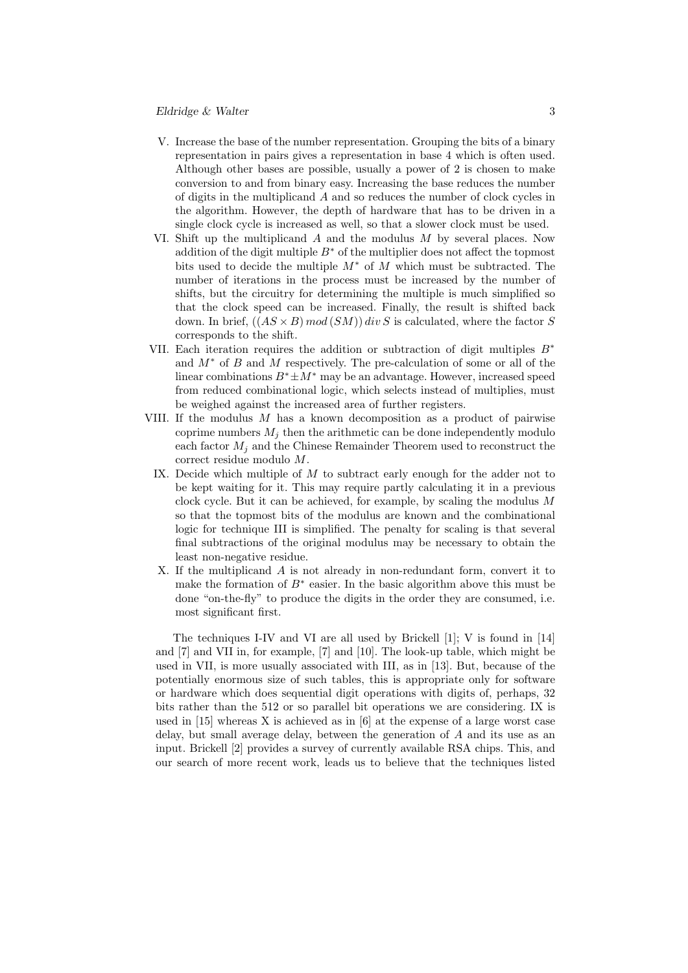### Eldridge & Walter 3

- V. Increase the base of the number representation. Grouping the bits of a binary representation in pairs gives a representation in base 4 which is often used. Although other bases are possible, usually a power of 2 is chosen to make conversion to and from binary easy. Increasing the base reduces the number of digits in the multiplicand A and so reduces the number of clock cycles in the algorithm. However, the depth of hardware that has to be driven in a single clock cycle is increased as well, so that a slower clock must be used.
- VI. Shift up the multiplicand A and the modulus M by several places. Now addition of the digit multiple  $B^*$  of the multiplier does not affect the topmost bits used to decide the multiple  $M^*$  of M which must be subtracted. The number of iterations in the process must be increased by the number of shifts, but the circuitry for determining the multiple is much simplified so that the clock speed can be increased. Finally, the result is shifted back down. In brief,  $((AS \times B) \mod (SM))$  div S is calculated, where the factor S corresponds to the shift.
- VII. Each iteration requires the addition or subtraction of digit multiples  $B^*$ and  $M^*$  of B and M respectively. The pre-calculation of some or all of the linear combinations  $B^* \pm M^*$  may be an advantage. However, increased speed from reduced combinational logic, which selects instead of multiplies, must be weighed against the increased area of further registers.
- VIII. If the modulus M has a known decomposition as a product of pairwise coprime numbers  $M_i$  then the arithmetic can be done independently modulo each factor  $M_i$  and the Chinese Remainder Theorem used to reconstruct the correct residue modulo M.
	- IX. Decide which multiple of  $M$  to subtract early enough for the adder not to be kept waiting for it. This may require partly calculating it in a previous clock cycle. But it can be achieved, for example, by scaling the modulus  $M$ so that the topmost bits of the modulus are known and the combinational logic for technique III is simplified. The penalty for scaling is that several final subtractions of the original modulus may be necessary to obtain the least non-negative residue.
	- X. If the multiplicand A is not already in non-redundant form, convert it to make the formation of  $B^*$  easier. In the basic algorithm above this must be done "on-the-fly" to produce the digits in the order they are consumed, i.e. most significant first.

The techniques I-IV and VI are all used by Brickell [1]; V is found in [14] and [7] and VII in, for example, [7] and [10]. The look-up table, which might be used in VII, is more usually associated with III, as in [13]. But, because of the potentially enormous size of such tables, this is appropriate only for software or hardware which does sequential digit operations with digits of, perhaps, 32 bits rather than the 512 or so parallel bit operations we are considering. IX is used in [15] whereas X is achieved as in [6] at the expense of a large worst case delay, but small average delay, between the generation of A and its use as an input. Brickell [2] provides a survey of currently available RSA chips. This, and our search of more recent work, leads us to believe that the techniques listed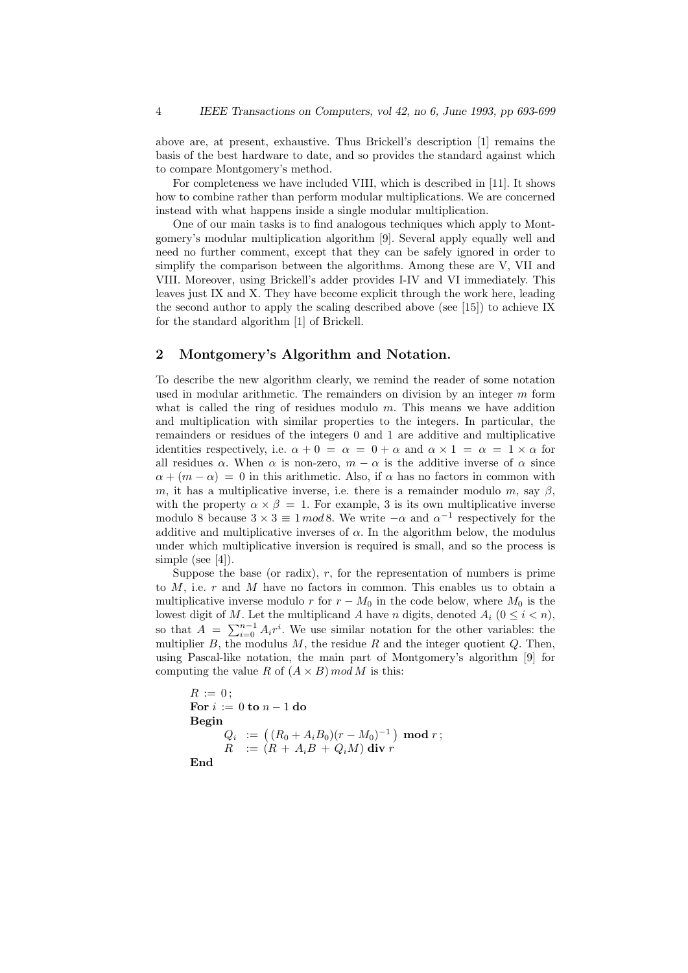above are, at present, exhaustive. Thus Brickell's description [1] remains the basis of the best hardware to date, and so provides the standard against which to compare Montgomery's method.

For completeness we have included VIII, which is described in [11]. It shows how to combine rather than perform modular multiplications. We are concerned instead with what happens inside a single modular multiplication.

One of our main tasks is to find analogous techniques which apply to Montgomery's modular multiplication algorithm [9]. Several apply equally well and need no further comment, except that they can be safely ignored in order to simplify the comparison between the algorithms. Among these are V, VII and VIII. Moreover, using Brickell's adder provides I-IV and VI immediately. This leaves just IX and X. They have become explicit through the work here, leading the second author to apply the scaling described above (see [15]) to achieve IX for the standard algorithm [1] of Brickell.

## 2 Montgomery's Algorithm and Notation.

To describe the new algorithm clearly, we remind the reader of some notation used in modular arithmetic. The remainders on division by an integer  $m$  form what is called the ring of residues modulo  $m$ . This means we have addition and multiplication with similar properties to the integers. In particular, the remainders or residues of the integers 0 and 1 are additive and multiplicative identities respectively, i.e.  $\alpha + 0 = \alpha = 0 + \alpha$  and  $\alpha \times 1 = \alpha = 1 \times \alpha$  for all residues  $\alpha$ . When  $\alpha$  is non-zero,  $m - \alpha$  is the additive inverse of  $\alpha$  since  $\alpha + (m - \alpha) = 0$  in this arithmetic. Also, if  $\alpha$  has no factors in common with m, it has a multiplicative inverse, i.e. there is a remainder modulo m, say  $\beta$ , with the property  $\alpha \times \beta = 1$ . For example, 3 is its own multiplicative inverse modulo 8 because  $3 \times 3 \equiv 1 \mod 8$ . We write  $-\alpha$  and  $\alpha^{-1}$  respectively for the additive and multiplicative inverses of  $\alpha$ . In the algorithm below, the modulus under which multiplicative inversion is required is small, and so the process is simple (see [4]).

Suppose the base (or radix),  $r$ , for the representation of numbers is prime to  $M$ , i.e.  $r$  and  $M$  have no factors in common. This enables us to obtain a multiplicative inverse modulo r for  $r - M_0$  in the code below, where  $M_0$  is the lowest digit of M. Let the multiplicand A have n digits, denoted  $A_i$  ( $0 \leq i \leq n$ ), so that  $A = \sum_{i=0}^{n-1} A_i r^i$ . We use similar notation for the other variables: the multiplier B, the modulus M, the residue R and the integer quotient Q. Then, using Pascal-like notation, the main part of Montgomery's algorithm [9] for computing the value R of  $(A \times B)$  mod M is this:

```
R := 0:
For i := 0 to n - 1 do
Begin
          Q_i \; \; := \; \bigl( \, (R_0 + A_i B_0) (r - M_0)^{-1} \, \bigr) \; \operatorname{\textbf{mod}}\, r \, ;R := (R + A_iB + Q_iM) div r
End
```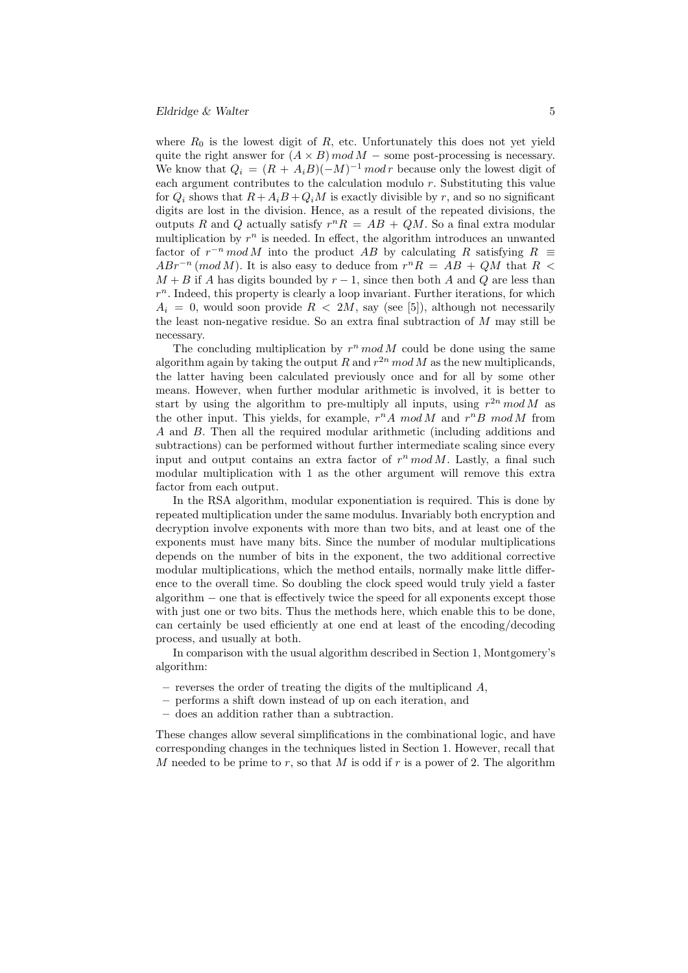where  $R_0$  is the lowest digit of R, etc. Unfortunately this does not yet yield quite the right answer for  $(A \times B)$  mod  $M$  – some post-processing is necessary. We know that  $Q_i = (R + A_i B)(-M)^{-1} \mod r$  because only the lowest digit of each argument contributes to the calculation modulo  $r$ . Substituting this value for  $Q_i$  shows that  $R+A_iB+Q_iM$  is exactly divisible by r, and so no significant digits are lost in the division. Hence, as a result of the repeated divisions, the outputs R and Q actually satisfy  $r^nR = AB + QM$ . So a final extra modular multiplication by  $r^n$  is needed. In effect, the algorithm introduces an unwanted factor of  $r^{-n} \mod M$  into the product AB by calculating R satisfying  $R \equiv$  $ABr^{-n} \pmod{M}$ . It is also easy to deduce from  $r^nR = AB + QM$  that  $R <$  $M + B$  if A has digits bounded by  $r - 1$ , since then both A and Q are less than  $r<sup>n</sup>$ . Indeed, this property is clearly a loop invariant. Further iterations, for which  $A_i = 0$ , would soon provide  $R < 2M$ , say (see [5]), although not necessarily the least non-negative residue. So an extra final subtraction of  $M$  may still be necessary.

The concluding multiplication by  $r^n \mod M$  could be done using the same algorithm again by taking the output R and  $r^{2n}$  mod M as the new multiplicands, the latter having been calculated previously once and for all by some other means. However, when further modular arithmetic is involved, it is better to start by using the algorithm to pre-multiply all inputs, using  $r^{2n} \mod M$  as the other input. This yields, for example,  $r^n A \mod M$  and  $r^n B \mod M$  from A and B. Then all the required modular arithmetic (including additions and subtractions) can be performed without further intermediate scaling since every input and output contains an extra factor of  $r^n \mod M$ . Lastly, a final such modular multiplication with 1 as the other argument will remove this extra factor from each output.

In the RSA algorithm, modular exponentiation is required. This is done by repeated multiplication under the same modulus. Invariably both encryption and decryption involve exponents with more than two bits, and at least one of the exponents must have many bits. Since the number of modular multiplications depends on the number of bits in the exponent, the two additional corrective modular multiplications, which the method entails, normally make little difference to the overall time. So doubling the clock speed would truly yield a faster algorithm − one that is effectively twice the speed for all exponents except those with just one or two bits. Thus the methods here, which enable this to be done, can certainly be used efficiently at one end at least of the encoding/decoding process, and usually at both.

In comparison with the usual algorithm described in Section 1, Montgomery's algorithm:

- $-$  reverses the order of treating the digits of the multiplicand  $A$ ,
- performs a shift down instead of up on each iteration, and
- does an addition rather than a subtraction.

These changes allow several simplifications in the combinational logic, and have corresponding changes in the techniques listed in Section 1. However, recall that M needed to be prime to r, so that M is odd if r is a power of 2. The algorithm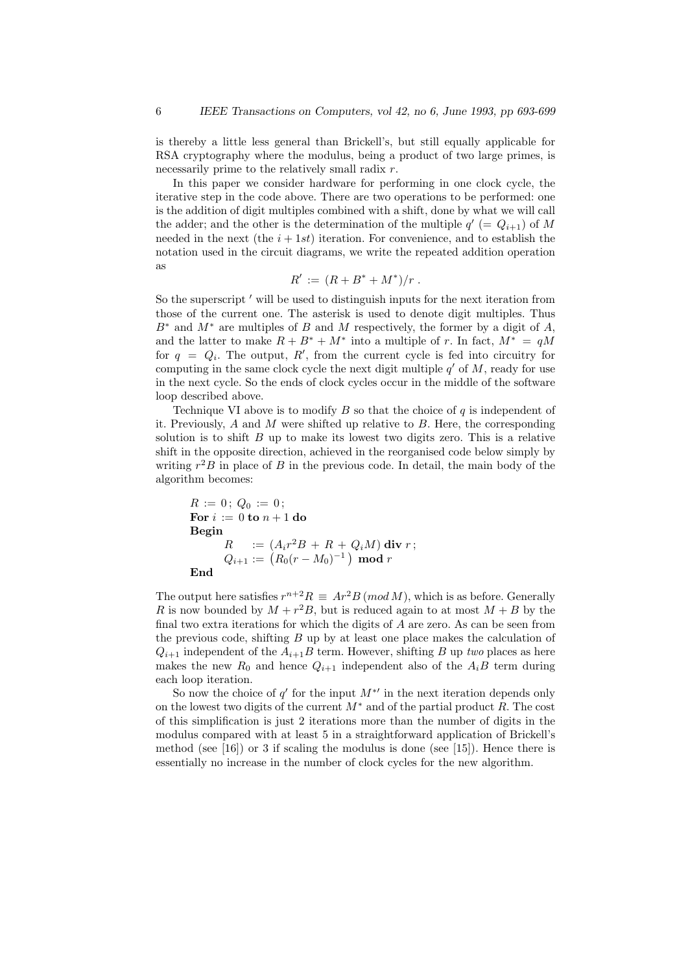is thereby a little less general than Brickell's, but still equally applicable for RSA cryptography where the modulus, being a product of two large primes, is necessarily prime to the relatively small radix  $r$ .

In this paper we consider hardware for performing in one clock cycle, the iterative step in the code above. There are two operations to be performed: one is the addition of digit multiples combined with a shift, done by what we will call the adder; and the other is the determination of the multiple  $q'$  (=  $Q_{i+1}$ ) of M needed in the next (the  $i + 1st$ ) iteration. For convenience, and to establish the notation used in the circuit diagrams, we write the repeated addition operation as

$$
R' := (R + B^* + M^*)/r.
$$

So the superscript ' will be used to distinguish inputs for the next iteration from those of the current one. The asterisk is used to denote digit multiples. Thus  $B^*$  and  $M^*$  are multiples of B and M respectively, the former by a digit of A, and the latter to make  $R + B^* + M^*$  into a multiple of r. In fact,  $M^* = qM$ for  $q = Q_i$ . The output, R', from the current cycle is fed into circuitry for computing in the same clock cycle the next digit multiple  $q'$  of  $M$ , ready for use in the next cycle. So the ends of clock cycles occur in the middle of the software loop described above.

Technique VI above is to modify  $B$  so that the choice of  $q$  is independent of it. Previously,  $A$  and  $M$  were shifted up relative to  $B$ . Here, the corresponding solution is to shift  $B$  up to make its lowest two digits zero. This is a relative shift in the opposite direction, achieved in the reorganised code below simply by writing  $r^2B$  in place of B in the previous code. In detail, the main body of the algorithm becomes:

$$
R := 0; Q_0 := 0; \nFor i := 0 to n + 1 do\nBegin\n
$$
R := (A_i r^2 B + R + Q_i M) \text{ div } r; \nQ_{i+1} := (R_0 (r - M_0)^{-1}) \text{ mod } r
$$
\nEnd
$$

The output here satisfies  $r^{n+2}R \equiv Ar^2B \pmod{M}$ , which is as before. Generally R is now bounded by  $M + r^2B$ , but is reduced again to at most  $M + B$  by the final two extra iterations for which the digits of A are zero. As can be seen from the previous code, shifting  $B$  up by at least one place makes the calculation of  $Q_{i+1}$  independent of the  $A_{i+1}B$  term. However, shifting B up two places as here makes the new  $R_0$  and hence  $Q_{i+1}$  independent also of the  $A_iB$  term during each loop iteration.

So now the choice of  $q'$  for the input  $M^*$  in the next iteration depends only on the lowest two digits of the current  $M^*$  and of the partial product R. The cost of this simplification is just 2 iterations more than the number of digits in the modulus compared with at least 5 in a straightforward application of Brickell's method (see  $[16]$ ) or 3 if scaling the modulus is done (see  $[15]$ ). Hence there is essentially no increase in the number of clock cycles for the new algorithm.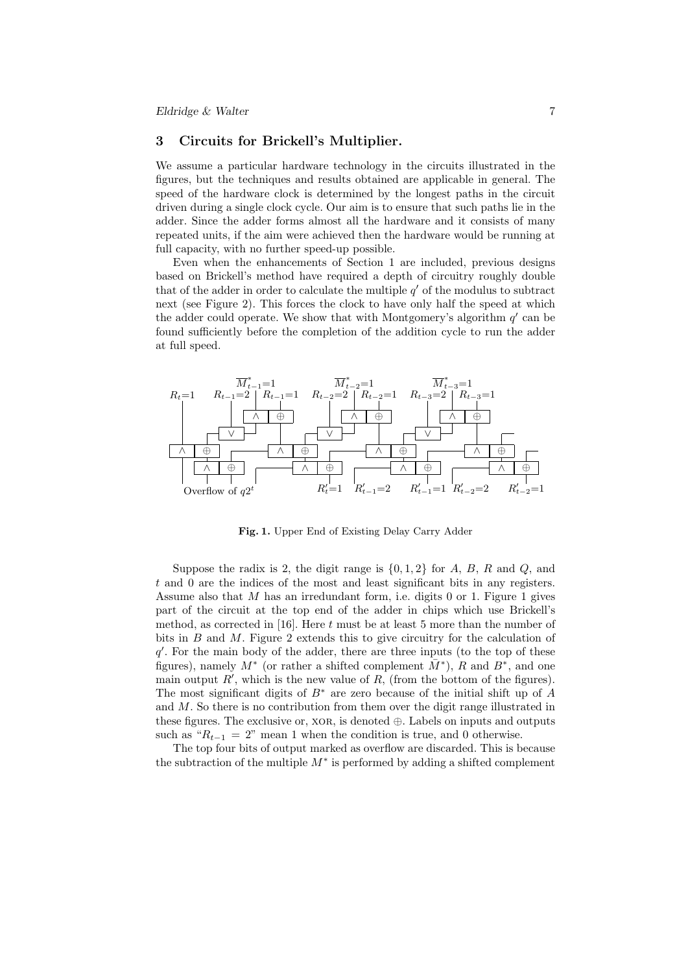### 3 Circuits for Brickell's Multiplier.

We assume a particular hardware technology in the circuits illustrated in the figures, but the techniques and results obtained are applicable in general. The speed of the hardware clock is determined by the longest paths in the circuit driven during a single clock cycle. Our aim is to ensure that such paths lie in the adder. Since the adder forms almost all the hardware and it consists of many repeated units, if the aim were achieved then the hardware would be running at full capacity, with no further speed-up possible.

Even when the enhancements of Section 1 are included, previous designs based on Brickell's method have required a depth of circuitry roughly double that of the adder in order to calculate the multiple  $q'$  of the modulus to subtract next (see Figure 2). This forces the clock to have only half the speed at which the adder could operate. We show that with Montgomery's algorithm  $q'$  can be found sufficiently before the completion of the addition cycle to run the adder at full speed.



Fig. 1. Upper End of Existing Delay Carry Adder

Suppose the radix is 2, the digit range is  $\{0, 1, 2\}$  for A, B, R and Q, and t and 0 are the indices of the most and least significant bits in any registers. Assume also that  $M$  has an irredundant form, i.e. digits  $0$  or 1. Figure 1 gives part of the circuit at the top end of the adder in chips which use Brickell's method, as corrected in  $[16]$ . Here t must be at least 5 more than the number of bits in  $B$  and  $M$ . Figure 2 extends this to give circuitry for the calculation of  $q'$ . For the main body of the adder, there are three inputs (to the top of these figures), namely  $M^*$  (or rather a shifted complement  $\overline{M}^*$ ),  $R$  and  $B^*$ , and one main output  $R'$ , which is the new value of  $R$ , (from the bottom of the figures). The most significant digits of  $B^*$  are zero because of the initial shift up of A and M. So there is no contribution from them over the digit range illustrated in these figures. The exclusive or,  $XOR$ , is denoted  $\oplus$ . Labels on inputs and outputs such as " $R_{t-1} = 2$ " mean 1 when the condition is true, and 0 otherwise.

The top four bits of output marked as overflow are discarded. This is because the subtraction of the multiple  $M^*$  is performed by adding a shifted complement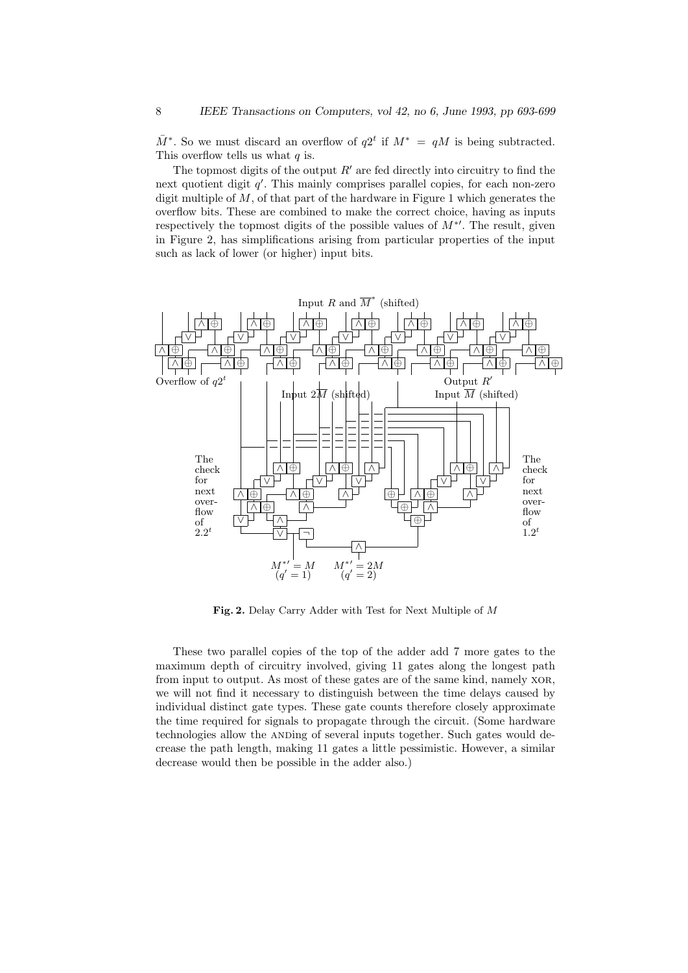$\overline{M}^*$ . So we must discard an overflow of  $q2^t$  if  $M^* = qM$  is being subtracted. This overflow tells us what  $q$  is.

The topmost digits of the output  $R'$  are fed directly into circuitry to find the next quotient digit  $q'$ . This mainly comprises parallel copies, for each non-zero digit multiple of  $M$ , of that part of the hardware in Figure 1 which generates the overflow bits. These are combined to make the correct choice, having as inputs respectively the topmost digits of the possible values of  $M^*$ . The result, given in Figure 2, has simplifications arising from particular properties of the input such as lack of lower (or higher) input bits.



Fig. 2. Delay Carry Adder with Test for Next Multiple of M

These two parallel copies of the top of the adder add 7 more gates to the maximum depth of circuitry involved, giving 11 gates along the longest path from input to output. As most of these gates are of the same kind, namely xor, we will not find it necessary to distinguish between the time delays caused by individual distinct gate types. These gate counts therefore closely approximate the time required for signals to propagate through the circuit. (Some hardware technologies allow the ANDing of several inputs together. Such gates would decrease the path length, making 11 gates a little pessimistic. However, a similar decrease would then be possible in the adder also.)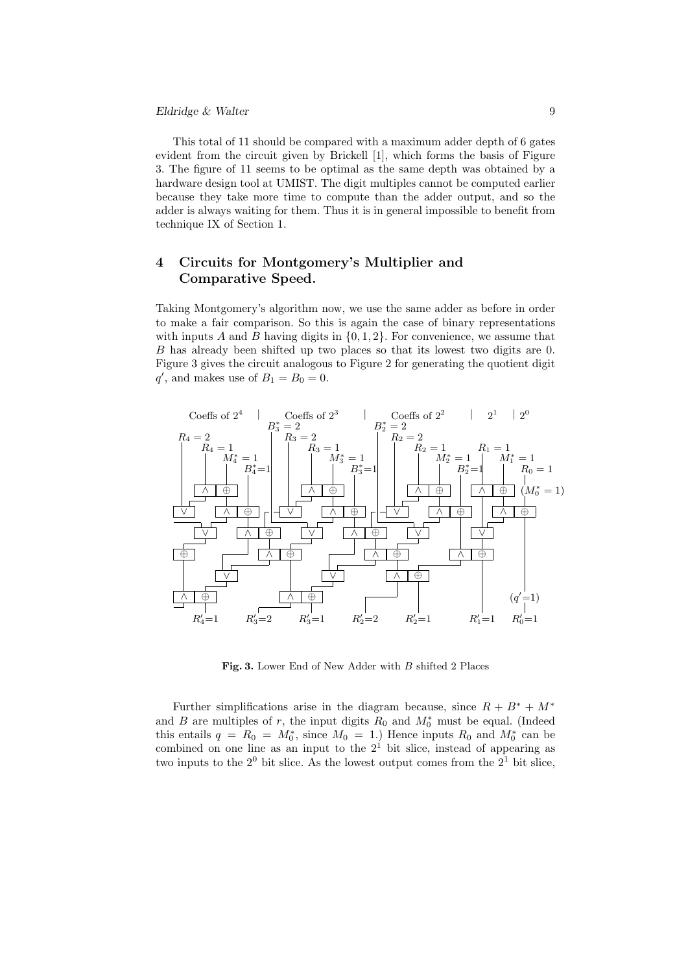### Eldridge & Walter 9

This total of 11 should be compared with a maximum adder depth of 6 gates evident from the circuit given by Brickell [1], which forms the basis of Figure 3. The figure of 11 seems to be optimal as the same depth was obtained by a hardware design tool at UMIST. The digit multiples cannot be computed earlier because they take more time to compute than the adder output, and so the adder is always waiting for them. Thus it is in general impossible to benefit from technique IX of Section 1.

# 4 Circuits for Montgomery's Multiplier and Comparative Speed.

Taking Montgomery's algorithm now, we use the same adder as before in order to make a fair comparison. So this is again the case of binary representations with inputs A and B having digits in  $\{0, 1, 2\}$ . For convenience, we assume that B has already been shifted up two places so that its lowest two digits are 0. Figure 3 gives the circuit analogous to Figure 2 for generating the quotient digit  $q'$ , and makes use of  $B_1 = B_0 = 0$ .



Fig. 3. Lower End of New Adder with B shifted 2 Places

Further simplifications arise in the diagram because, since  $R + B^* + M^*$ and B are multiples of r, the input digits  $R_0$  and  $M_0^*$  must be equal. (Indeed this entails  $q = R_0 = M_0^*$ , since  $M_0 = 1$ .) Hence inputs  $R_0$  and  $M_0^*$  can be combined on one line as an input to the  $2<sup>1</sup>$  bit slice, instead of appearing as two inputs to the  $2^0$  bit slice. As the lowest output comes from the  $2^1$  bit slice,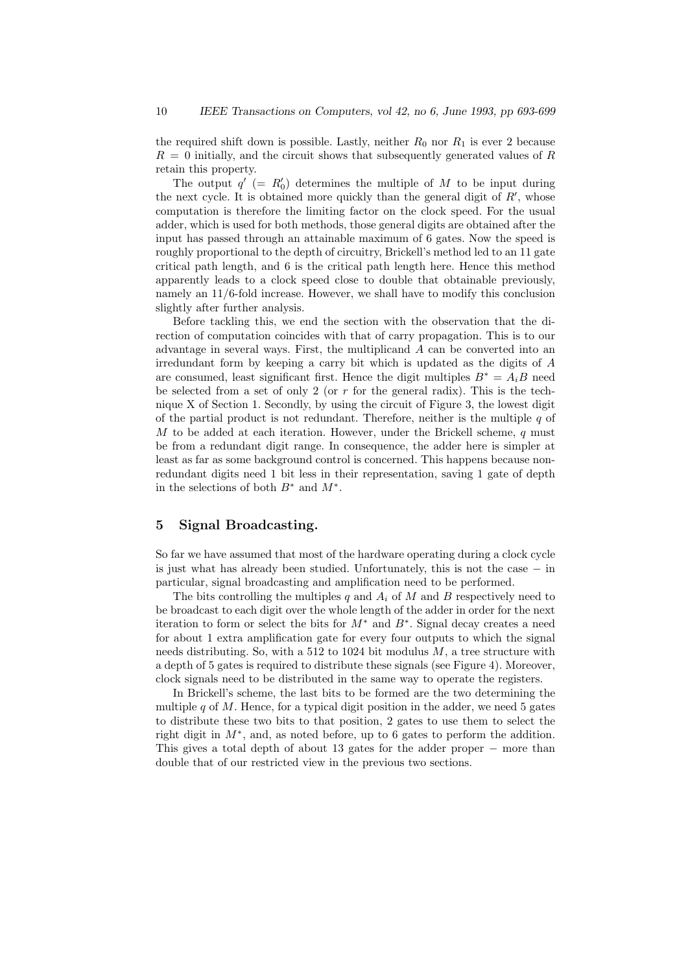the required shift down is possible. Lastly, neither  $R_0$  nor  $R_1$  is ever 2 because  $R = 0$  initially, and the circuit shows that subsequently generated values of R retain this property.

The output  $q'$  (=  $R'_0$ ) determines the multiple of M to be input during the next cycle. It is obtained more quickly than the general digit of  $R'$ , whose computation is therefore the limiting factor on the clock speed. For the usual adder, which is used for both methods, those general digits are obtained after the input has passed through an attainable maximum of 6 gates. Now the speed is roughly proportional to the depth of circuitry, Brickell's method led to an 11 gate critical path length, and 6 is the critical path length here. Hence this method apparently leads to a clock speed close to double that obtainable previously, namely an 11/6-fold increase. However, we shall have to modify this conclusion slightly after further analysis.

Before tackling this, we end the section with the observation that the direction of computation coincides with that of carry propagation. This is to our advantage in several ways. First, the multiplicand A can be converted into an irredundant form by keeping a carry bit which is updated as the digits of  $A$ are consumed, least significant first. Hence the digit multiples  $B^* = A_i B$  need be selected from a set of only 2 (or  $r$  for the general radix). This is the technique X of Section 1. Secondly, by using the circuit of Figure 3, the lowest digit of the partial product is not redundant. Therefore, neither is the multiple  $q$  of M to be added at each iteration. However, under the Brickell scheme,  $q$  must be from a redundant digit range. In consequence, the adder here is simpler at least as far as some background control is concerned. This happens because nonredundant digits need 1 bit less in their representation, saving 1 gate of depth in the selections of both  $B^*$  and  $M^*$ .

# 5 Signal Broadcasting.

So far we have assumed that most of the hardware operating during a clock cycle is just what has already been studied. Unfortunately, this is not the case  $-$  in particular, signal broadcasting and amplification need to be performed.

The bits controlling the multiples q and  $A_i$  of M and B respectively need to be broadcast to each digit over the whole length of the adder in order for the next iteration to form or select the bits for  $M^*$  and  $B^*$ . Signal decay creates a need for about 1 extra amplification gate for every four outputs to which the signal needs distributing. So, with a 512 to 1024 bit modulus  $M$ , a tree structure with a depth of 5 gates is required to distribute these signals (see Figure 4). Moreover, clock signals need to be distributed in the same way to operate the registers.

In Brickell's scheme, the last bits to be formed are the two determining the multiple  $q$  of  $M$ . Hence, for a typical digit position in the adder, we need 5 gates to distribute these two bits to that position, 2 gates to use them to select the right digit in  $M^*$ , and, as noted before, up to 6 gates to perform the addition. This gives a total depth of about 13 gates for the adder proper − more than double that of our restricted view in the previous two sections.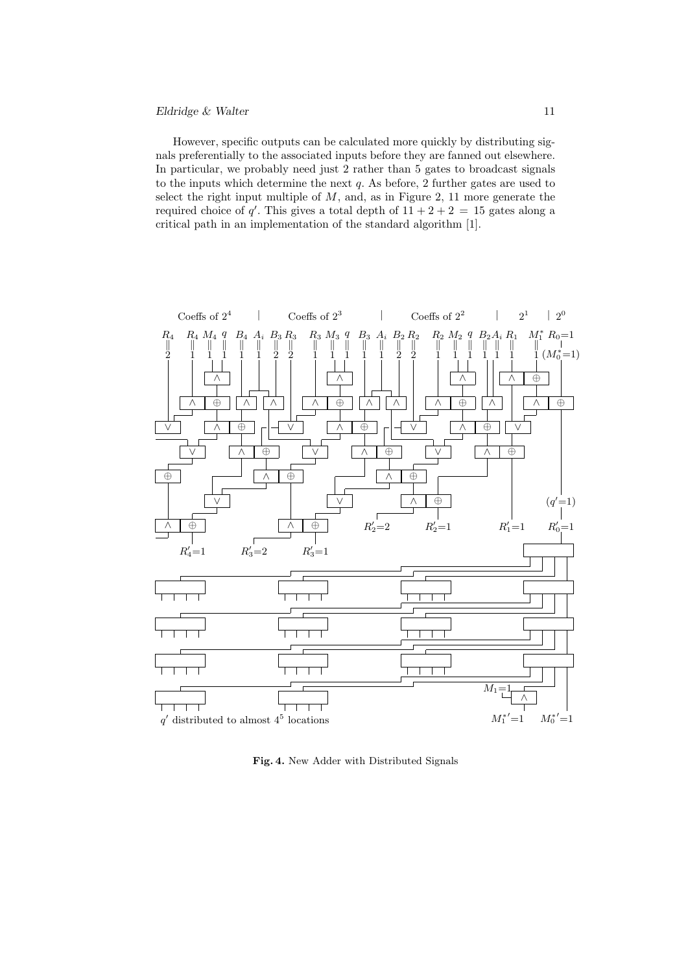### $Eldridge \& Walter$  11

However, specific outputs can be calculated more quickly by distributing signals preferentially to the associated inputs before they are fanned out elsewhere. In particular, we probably need just 2 rather than 5 gates to broadcast signals to the inputs which determine the next  $q$ . As before, 2 further gates are used to select the right input multiple of  $M$ , and, as in Figure 2, 11 more generate the required choice of q'. This gives a total depth of  $11 + 2 + 2 = 15$  gates along a critical path in an implementation of the standard algorithm [1].



Fig. 4. New Adder with Distributed Signals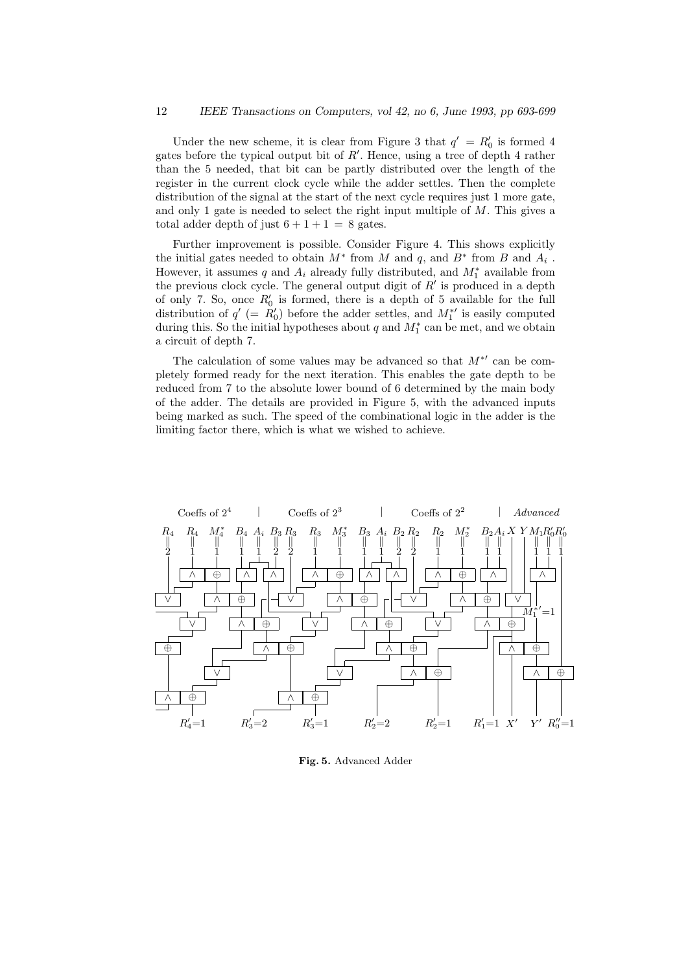Under the new scheme, it is clear from Figure 3 that  $q' = R'_0$  is formed 4 gates before the typical output bit of  $R'$ . Hence, using a tree of depth 4 rather than the 5 needed, that bit can be partly distributed over the length of the register in the current clock cycle while the adder settles. Then the complete distribution of the signal at the start of the next cycle requires just 1 more gate, and only 1 gate is needed to select the right input multiple of  $M$ . This gives a total adder depth of just  $6 + 1 + 1 = 8$  gates.

Further improvement is possible. Consider Figure 4. This shows explicitly the initial gates needed to obtain  $M^*$  from  $M$  and  $q$ , and  $B^*$  from  $B$  and  $A_i$ . However, it assumes q and  $A_i$  already fully distributed, and  $M_1^*$  available from the previous clock cycle. The general output digit of  $R'$  is produced in a depth of only 7. So, once  $R'_0$  is formed, there is a depth of 5 available for the full distribution of  $q'$  (=  $R'_0$ ) before the adder settles, and  $M_1^{*'}$  is easily computed during this. So the initial hypotheses about  $q$  and  $M_1^*$  can be met, and we obtain a circuit of depth 7.

The calculation of some values may be advanced so that  $M^*{}'$  can be completely formed ready for the next iteration. This enables the gate depth to be reduced from 7 to the absolute lower bound of 6 determined by the main body of the adder. The details are provided in Figure 5, with the advanced inputs being marked as such. The speed of the combinational logic in the adder is the limiting factor there, which is what we wished to achieve.



Fig. 5. Advanced Adder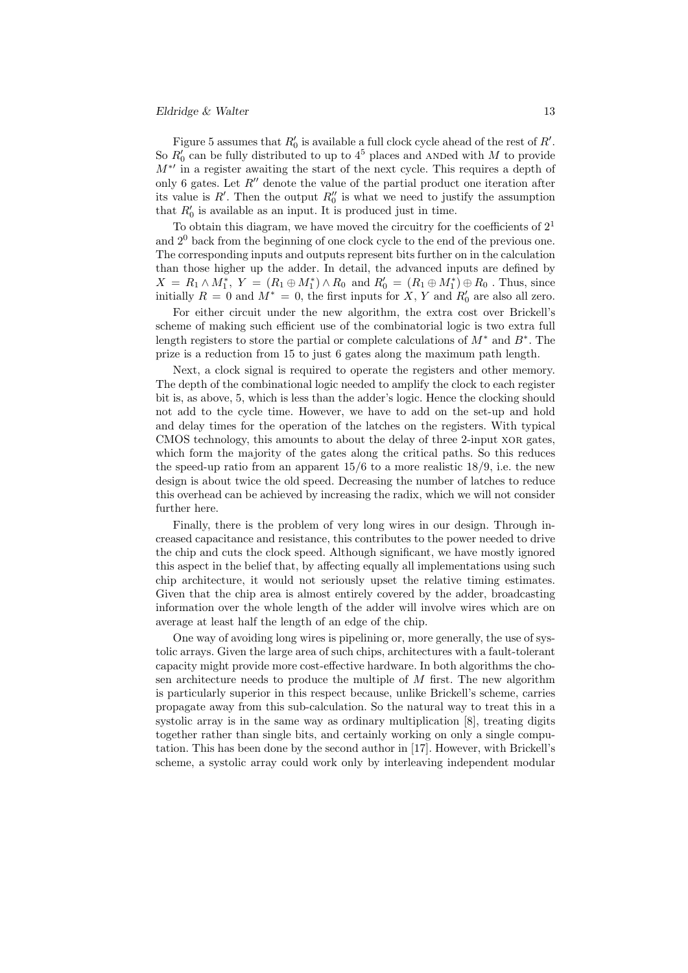#### $Eldridge \& \text{Walter}$  13

Figure 5 assumes that  $R'_0$  is available a full clock cycle ahead of the rest of  $R'$ . So  $R'_0$  can be fully distributed to up to  $4^5$  places and ANDed with M to provide  $M^*{}'$  in a register awaiting the start of the next cycle. This requires a depth of only 6 gates. Let  $R''$  denote the value of the partial product one iteration after its value is  $R'$ . Then the output  $R''_0$  is what we need to justify the assumption that  $R'_0$  is available as an input. It is produced just in time.

To obtain this diagram, we have moved the circuitry for the coefficients of  $2<sup>1</sup>$ and  $2<sup>0</sup>$  back from the beginning of one clock cycle to the end of the previous one. The corresponding inputs and outputs represent bits further on in the calculation than those higher up the adder. In detail, the advanced inputs are defined by  $X = R_1 \wedge M_1^*, Y = (R_1 \oplus M_1^*) \wedge R_0$  and  $R'_0 = (R_1 \oplus M_1^*) \oplus R_0$ . Thus, since initially  $R = 0$  and  $M^* = 0$ , the first inputs for X, Y and  $R'_0$  are also all zero.

For either circuit under the new algorithm, the extra cost over Brickell's scheme of making such efficient use of the combinatorial logic is two extra full length registers to store the partial or complete calculations of  $M^*$  and  $B^*$ . The prize is a reduction from 15 to just 6 gates along the maximum path length.

Next, a clock signal is required to operate the registers and other memory. The depth of the combinational logic needed to amplify the clock to each register bit is, as above, 5, which is less than the adder's logic. Hence the clocking should not add to the cycle time. However, we have to add on the set-up and hold and delay times for the operation of the latches on the registers. With typical CMOS technology, this amounts to about the delay of three 2-input xor gates, which form the majority of the gates along the critical paths. So this reduces the speed-up ratio from an apparent  $15/6$  to a more realistic  $18/9$ , i.e. the new design is about twice the old speed. Decreasing the number of latches to reduce this overhead can be achieved by increasing the radix, which we will not consider further here.

Finally, there is the problem of very long wires in our design. Through increased capacitance and resistance, this contributes to the power needed to drive the chip and cuts the clock speed. Although significant, we have mostly ignored this aspect in the belief that, by affecting equally all implementations using such chip architecture, it would not seriously upset the relative timing estimates. Given that the chip area is almost entirely covered by the adder, broadcasting information over the whole length of the adder will involve wires which are on average at least half the length of an edge of the chip.

One way of avoiding long wires is pipelining or, more generally, the use of systolic arrays. Given the large area of such chips, architectures with a fault-tolerant capacity might provide more cost-effective hardware. In both algorithms the chosen architecture needs to produce the multiple of  $M$  first. The new algorithm is particularly superior in this respect because, unlike Brickell's scheme, carries propagate away from this sub-calculation. So the natural way to treat this in a systolic array is in the same way as ordinary multiplication [8], treating digits together rather than single bits, and certainly working on only a single computation. This has been done by the second author in [17]. However, with Brickell's scheme, a systolic array could work only by interleaving independent modular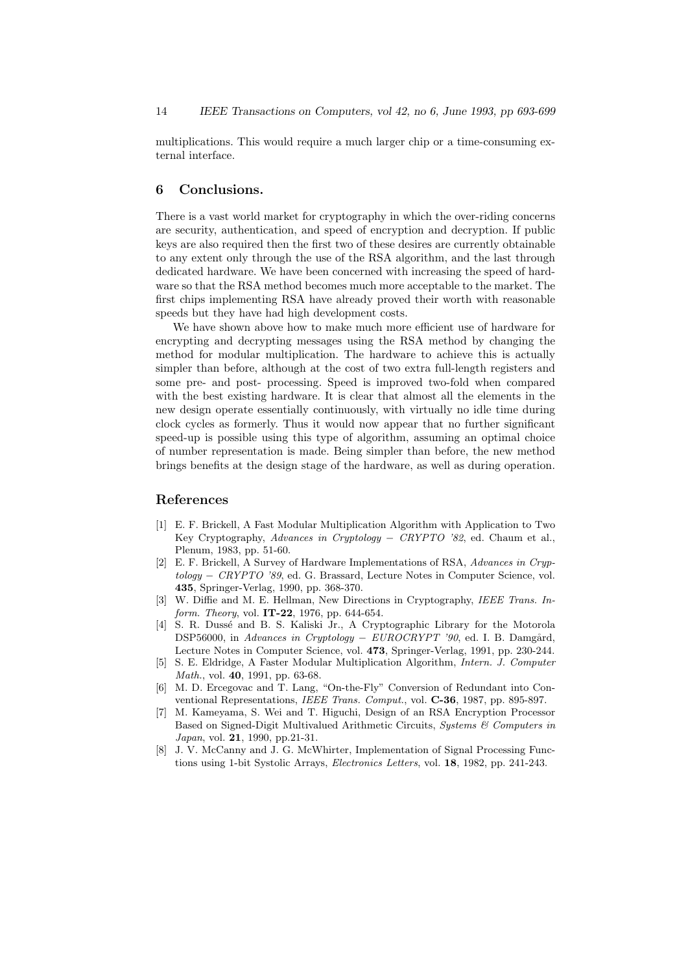multiplications. This would require a much larger chip or a time-consuming external interface.

### 6 Conclusions.

There is a vast world market for cryptography in which the over-riding concerns are security, authentication, and speed of encryption and decryption. If public keys are also required then the first two of these desires are currently obtainable to any extent only through the use of the RSA algorithm, and the last through dedicated hardware. We have been concerned with increasing the speed of hardware so that the RSA method becomes much more acceptable to the market. The first chips implementing RSA have already proved their worth with reasonable speeds but they have had high development costs.

We have shown above how to make much more efficient use of hardware for encrypting and decrypting messages using the RSA method by changing the method for modular multiplication. The hardware to achieve this is actually simpler than before, although at the cost of two extra full-length registers and some pre- and post- processing. Speed is improved two-fold when compared with the best existing hardware. It is clear that almost all the elements in the new design operate essentially continuously, with virtually no idle time during clock cycles as formerly. Thus it would now appear that no further significant speed-up is possible using this type of algorithm, assuming an optimal choice of number representation is made. Being simpler than before, the new method brings benefits at the design stage of the hardware, as well as during operation.

# References

- [1] E. F. Brickell, A Fast Modular Multiplication Algorithm with Application to Two Key Cryptography, Advances in Cryptology − CRYPTO '82, ed. Chaum et al., Plenum, 1983, pp. 51-60.
- [2] E. F. Brickell, A Survey of Hardware Implementations of RSA, Advances in Cryptology − CRYPTO '89, ed. G. Brassard, Lecture Notes in Computer Science, vol. 435, Springer-Verlag, 1990, pp. 368-370.
- [3] W. Diffie and M. E. Hellman, New Directions in Cryptography, IEEE Trans. Inform. Theory, vol. **IT-22**, 1976, pp. 644-654.
- [4] S. R. Dussé and B. S. Kaliski Jr., A Cryptographic Library for the Motorola DSP56000, in Advances in Cryptology – EUROCRYPT '90, ed. I. B. Damgård, Lecture Notes in Computer Science, vol. 473, Springer-Verlag, 1991, pp. 230-244.
- [5] S. E. Eldridge, A Faster Modular Multiplication Algorithm, Intern. J. Computer Math., vol. 40, 1991, pp. 63-68.
- [6] M. D. Ercegovac and T. Lang, "On-the-Fly" Conversion of Redundant into Conventional Representations, IEEE Trans. Comput., vol. C-36, 1987, pp. 895-897.
- [7] M. Kameyama, S. Wei and T. Higuchi, Design of an RSA Encryption Processor Based on Signed-Digit Multivalued Arithmetic Circuits, Systems & Computers in Japan, vol. 21, 1990, pp.21-31.
- [8] J. V. McCanny and J. G. McWhirter, Implementation of Signal Processing Functions using 1-bit Systolic Arrays, Electronics Letters, vol. 18, 1982, pp. 241-243.